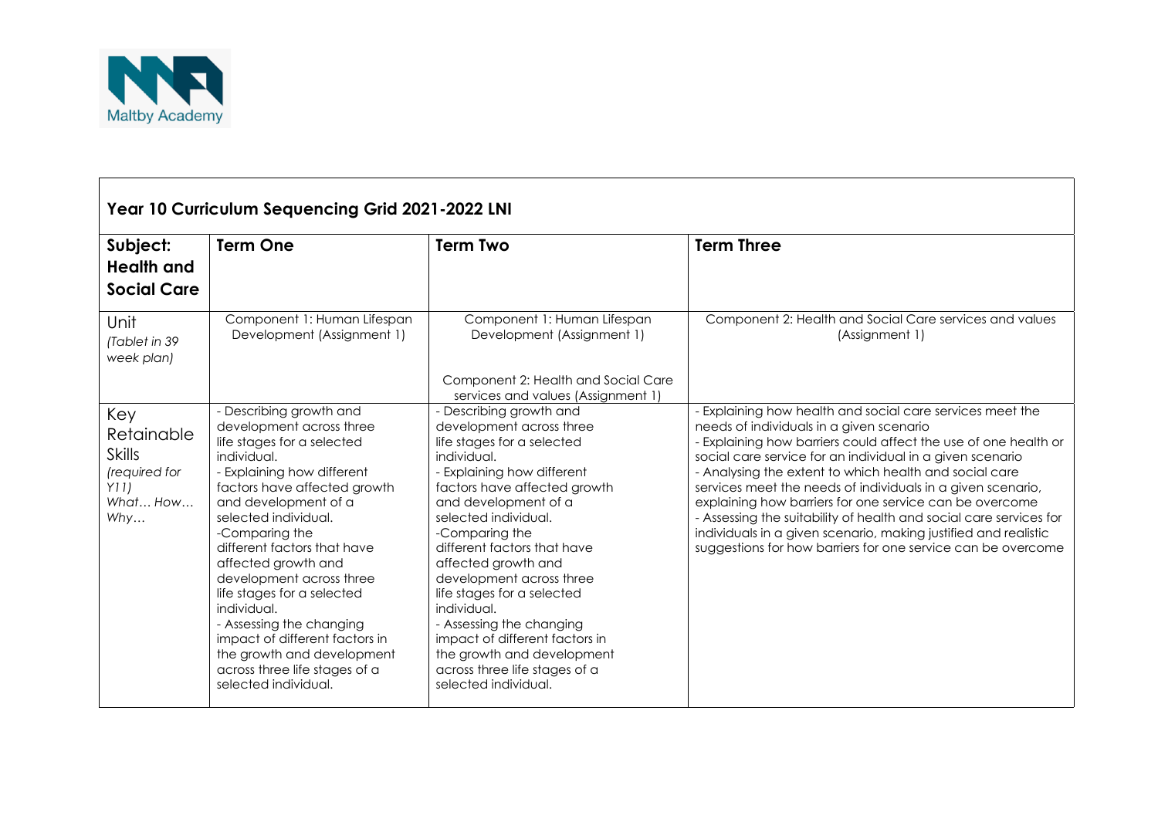

| Year 10 Curriculum Sequencing Grid 2021-2022 LNI                               |                                                                                                                                                                                                                                                                                                                                                                                                                                                                                                                      |                                                                                                                                                                                                                                                                                                                                                                                                                                                                                                                      |                                                                                                                                                                                                                                                                                                                                                                                                                                                                                                                                                                                                                                    |  |  |  |  |
|--------------------------------------------------------------------------------|----------------------------------------------------------------------------------------------------------------------------------------------------------------------------------------------------------------------------------------------------------------------------------------------------------------------------------------------------------------------------------------------------------------------------------------------------------------------------------------------------------------------|----------------------------------------------------------------------------------------------------------------------------------------------------------------------------------------------------------------------------------------------------------------------------------------------------------------------------------------------------------------------------------------------------------------------------------------------------------------------------------------------------------------------|------------------------------------------------------------------------------------------------------------------------------------------------------------------------------------------------------------------------------------------------------------------------------------------------------------------------------------------------------------------------------------------------------------------------------------------------------------------------------------------------------------------------------------------------------------------------------------------------------------------------------------|--|--|--|--|
| Subject:<br><b>Health and</b><br><b>Social Care</b>                            | <b>Term One</b>                                                                                                                                                                                                                                                                                                                                                                                                                                                                                                      | <b>Term Two</b>                                                                                                                                                                                                                                                                                                                                                                                                                                                                                                      | <b>Term Three</b>                                                                                                                                                                                                                                                                                                                                                                                                                                                                                                                                                                                                                  |  |  |  |  |
| Unit<br>(Tablet in 39<br>week plan)                                            | Component 1: Human Lifespan<br>Development (Assignment 1)                                                                                                                                                                                                                                                                                                                                                                                                                                                            | Component 1: Human Lifespan<br>Development (Assignment 1)<br>Component 2: Health and Social Care<br>services and values (Assignment 1)                                                                                                                                                                                                                                                                                                                                                                               | Component 2: Health and Social Care services and values<br>(Assignment 1)                                                                                                                                                                                                                                                                                                                                                                                                                                                                                                                                                          |  |  |  |  |
| Key<br>Retainable<br><b>Skills</b><br>(required for<br>Y11)<br>What How<br>Why | - Describing growth and<br>development across three<br>life stages for a selected<br>individual.<br>- Explaining how different<br>factors have affected growth<br>and development of a<br>selected individual.<br>-Comparing the<br>different factors that have<br>affected growth and<br>development across three<br>life stages for a selected<br>individual.<br>- Assessing the changing<br>impact of different factors in<br>the growth and development<br>across three life stages of a<br>selected individual. | - Describing growth and<br>development across three<br>life stages for a selected<br>individual.<br>- Explaining how different<br>factors have affected growth<br>and development of a<br>selected individual.<br>-Comparing the<br>different factors that have<br>affected growth and<br>development across three<br>life stages for a selected<br>individual.<br>- Assessing the changing<br>impact of different factors in<br>the growth and development<br>across three life stages of a<br>selected individual. | - Explaining how health and social care services meet the<br>needs of individuals in a given scenario<br>- Explaining how barriers could affect the use of one health or<br>social care service for an individual in a given scenario<br>- Analysing the extent to which health and social care<br>services meet the needs of individuals in a given scenario,<br>explaining how barriers for one service can be overcome<br>- Assessing the suitability of health and social care services for<br>individuals in a given scenario, making justified and realistic<br>suggestions for how barriers for one service can be overcome |  |  |  |  |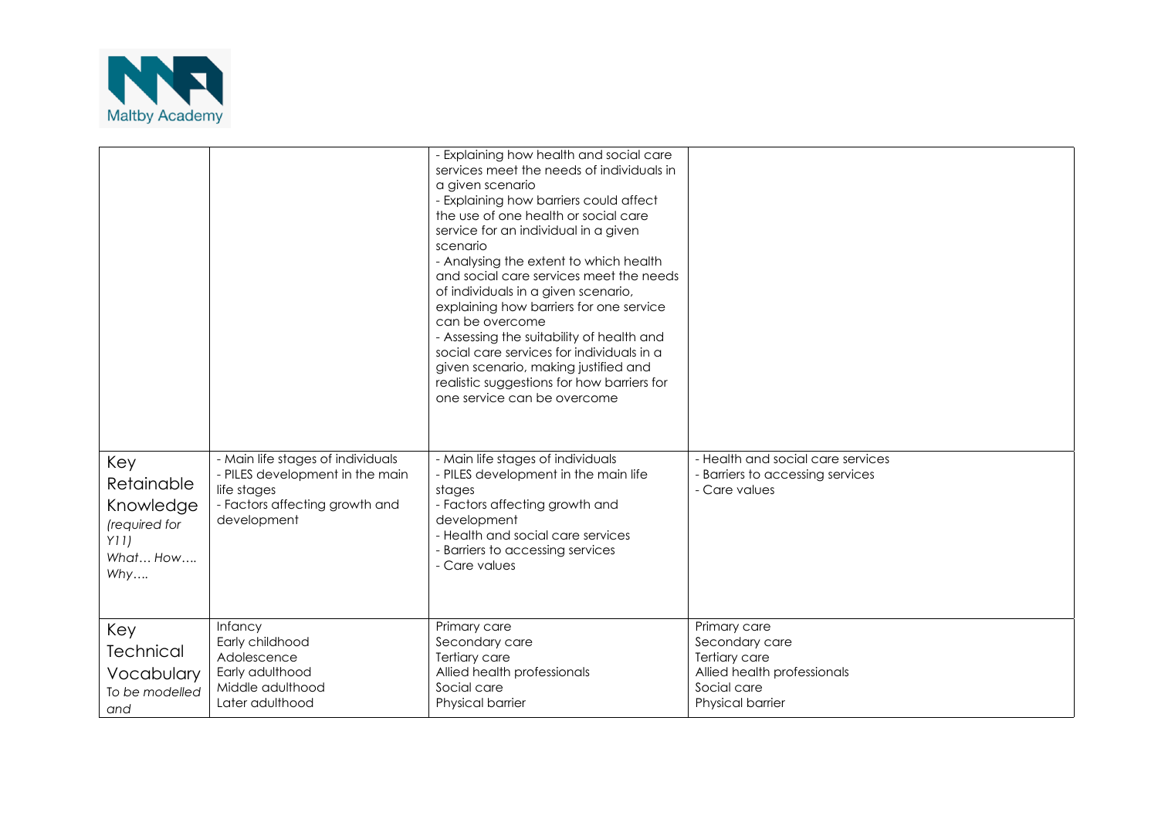

|                                                                           |                                                                                                                                      | - Explaining how health and social care<br>services meet the needs of individuals in<br>a given scenario<br>- Explaining how barriers could affect<br>the use of one health or social care<br>service for an individual in a given<br>scenario<br>- Analysing the extent to which health<br>and social care services meet the needs<br>of individuals in a given scenario,<br>explaining how barriers for one service<br>can be overcome<br>- Assessing the suitability of health and<br>social care services for individuals in a<br>given scenario, making justified and<br>realistic suggestions for how barriers for<br>one service can be overcome |                                                                                                                          |
|---------------------------------------------------------------------------|--------------------------------------------------------------------------------------------------------------------------------------|---------------------------------------------------------------------------------------------------------------------------------------------------------------------------------------------------------------------------------------------------------------------------------------------------------------------------------------------------------------------------------------------------------------------------------------------------------------------------------------------------------------------------------------------------------------------------------------------------------------------------------------------------------|--------------------------------------------------------------------------------------------------------------------------|
| Key<br>Retainable<br>Knowledge<br>(required for<br>Y11<br>What How<br>Why | - Main life stages of individuals<br>- PILES development in the main<br>life stages<br>- Factors affecting growth and<br>development | - Main life stages of individuals<br>- PILES development in the main life<br>stages<br>- Factors affecting growth and<br>development<br>- Health and social care services<br>- Barriers to accessing services<br>- Care values                                                                                                                                                                                                                                                                                                                                                                                                                          | - Health and social care services<br>- Barriers to accessing services<br>- Care values                                   |
| Key<br><b>Technical</b><br>Vocabulary<br>To be modelled<br>and            | Infancy<br>Early childhood<br>Adolescence<br>Early adulthood<br>Middle adulthood<br>Later adulthood                                  | Primary care<br>Secondary care<br>Tertiary care<br>Allied health professionals<br>Social care<br>Physical barrier                                                                                                                                                                                                                                                                                                                                                                                                                                                                                                                                       | Primary care<br>Secondary care<br><b>Tertiary care</b><br>Allied health professionals<br>Social care<br>Physical barrier |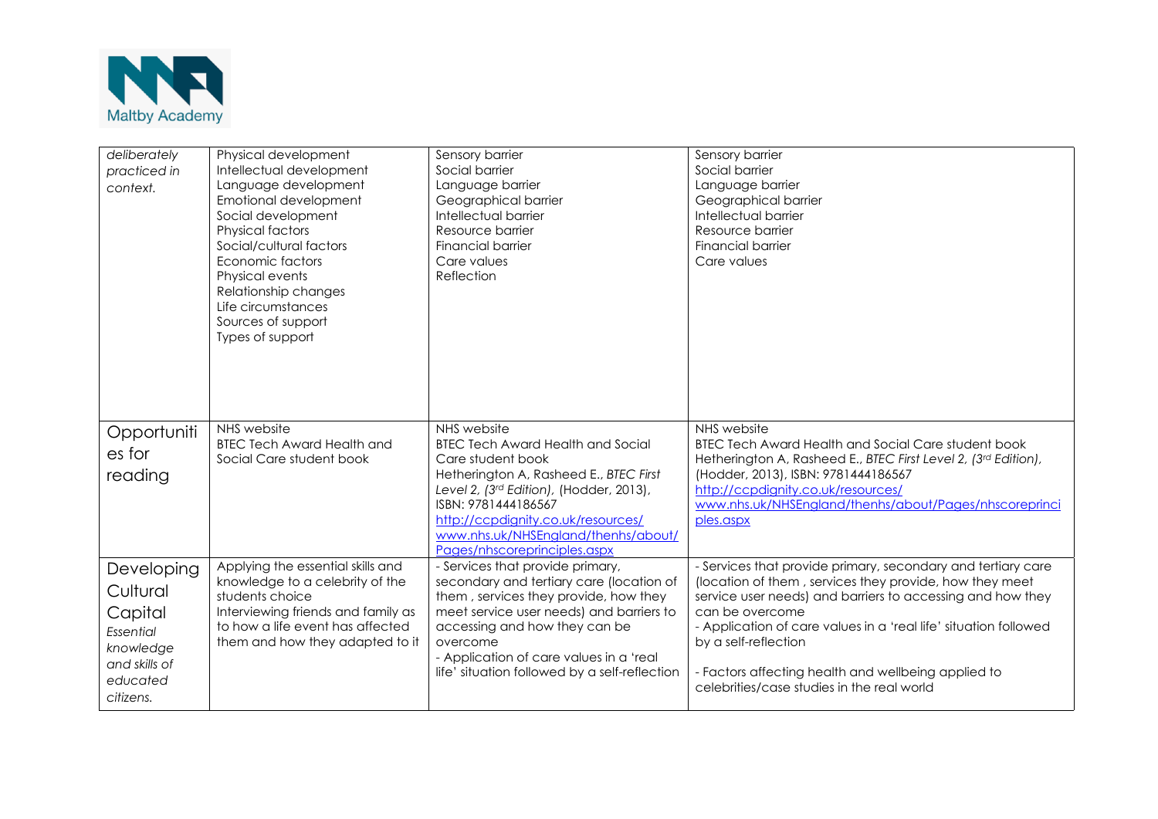

| deliberately<br>practiced in<br>context.                                                              | Physical development<br>Intellectual development<br>Language development<br>Emotional development<br>Social development<br><b>Physical factors</b><br>Social/cultural factors<br>Economic factors<br>Physical events<br>Relationship changes<br>Life circumstances<br>Sources of support<br>Types of support | Sensory barrier<br>Social barrier<br>Language barrier<br>Geographical barrier<br>Intellectual barrier<br>Resource barrier<br><b>Financial barrier</b><br>Care values<br>Reflection                                                                                                                         | Sensory barrier<br>Social barrier<br>Language barrier<br>Geographical barrier<br>Intellectual barrier<br>Resource barrier<br><b>Financial barrier</b><br>Care values                                                                                                                                                                                                                                      |
|-------------------------------------------------------------------------------------------------------|--------------------------------------------------------------------------------------------------------------------------------------------------------------------------------------------------------------------------------------------------------------------------------------------------------------|------------------------------------------------------------------------------------------------------------------------------------------------------------------------------------------------------------------------------------------------------------------------------------------------------------|-----------------------------------------------------------------------------------------------------------------------------------------------------------------------------------------------------------------------------------------------------------------------------------------------------------------------------------------------------------------------------------------------------------|
| Opportuniti<br>es for<br>reading                                                                      | NHS website<br><b>BTEC Tech Award Health and</b><br>Social Care student book                                                                                                                                                                                                                                 | NHS website<br><b>BTEC Tech Award Health and Social</b><br>Care student book<br>Hetherington A, Rasheed E., BTEC First<br>Level 2, (3rd Edition), (Hodder, 2013),<br>ISBN: 9781444186567<br>http://ccpdignity.co.uk/resources/<br>www.nhs.uk/NHSEngland/thenhs/about/<br>Pages/nhscoreprinciples.aspx      | NHS website<br><b>BTEC Tech Award Health and Social Care student book</b><br>Hetherington A, Rasheed E., BTEC First Level 2, (3rd Edition),<br>(Hodder, 2013), ISBN: 9781444186567<br>http://ccpdignity.co.uk/resources/<br>www.nhs.uk/NHSEngland/thenhs/about/Pages/nhscoreprinci<br>ples.aspx                                                                                                           |
| Developing<br>Cultural<br>Capital<br>Essential<br>knowledge<br>and skills of<br>educated<br>citizens. | Applying the essential skills and<br>knowledge to a celebrity of the<br>students choice<br>Interviewing friends and family as<br>to how a life event has affected<br>them and how they adapted to it                                                                                                         | - Services that provide primary,<br>secondary and tertiary care (location of<br>them, services they provide, how they<br>meet service user needs) and barriers to<br>accessing and how they can be<br>overcome<br>- Application of care values in a 'real<br>life' situation followed by a self-reflection | - Services that provide primary, secondary and tertiary care<br>(location of them, services they provide, how they meet<br>service user needs) and barriers to accessing and how they<br>can be overcome<br>- Application of care values in a 'real life' situation followed<br>by a self-reflection<br>- Factors affecting health and wellbeing applied to<br>celebrities/case studies in the real world |